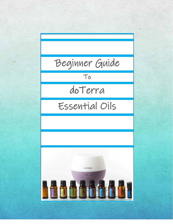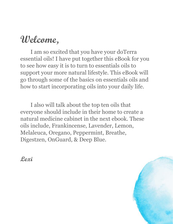### **Welcome,**

I am so excited that you have your doTerra essential oils! I have put together this eBook for you to see how easy it is to turn to essentials oils to support your more natural lifestyle. This eBook will go through some of the basics on essentials oils and how to start incorporating oils into your daily life.

I also will talk about the top ten oils that everyone should include in their home to create a natural medicine cabinet in the next ebook. These oils include, Frankincense, Lavender, Lemon, Melaleuca, Oregano, Peppermint, Breathe, Digestzen, OnGuard, & Deep Blue.

**Lexi**

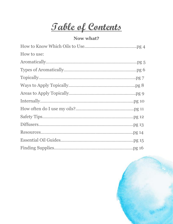**Table of Contents**

#### **Now what?**

| How to use: |  |
|-------------|--|
|             |  |
|             |  |
|             |  |
|             |  |
|             |  |
|             |  |
|             |  |
|             |  |
|             |  |
|             |  |
|             |  |
|             |  |

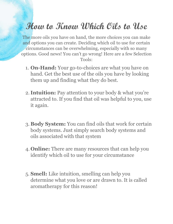### **How to Know Which Oils to Use**

The more oils you have on hand, the more choices you can make and options you can create. Deciding which oil to use for certain circumstances can be overwhelming, especially with so many options. Good news! You can't go wrong! Here are a few Selection Tools:

- 1. **On-Hand:** Your go-to-choices are what you have on hand. Get the best use of the oils you have by looking them up and finding what they do best.
- 2. **Intuition:** Pay attention to your body & what you're attracted to. If you find that oil was helpful to you, use it again.
- 3. **Body System:** You can find oils that work for certain body systems. Just simply search body systems and oils associated with that system
- 4. **Online:** There are many resources that can help you identify which oil to use for your circumstance
- 5. **Smell:** Like intuition, smelling can help you determine what you love or are drawn to. It is called aromatherapy for this reason!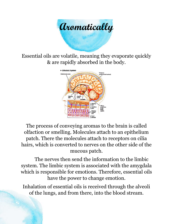

Essential oils are volatile, meaning they evaporate quickly & are rapidly absorbed in the body.



The process of conveying aromas to the brain is called olfaction or smelling. Molecules attach to an epithelium patch. There the molecules attach to receptors on cilia hairs, which is converted to nerves on the other side of the mucous patch.

The nerves then send the information to the limbic system. The limbic system is associated with the amygdala which is responsible for emotions. Therefore, essential oils have the power to change emotion.

Inhalation of essential oils is received through the alveoli of the lungs, and from there, into the blood stream.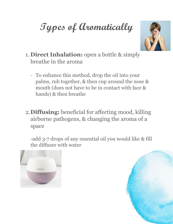# **Types of Aromatically**



- 1. **Direct Inhalation:** open a bottle & simply breathe in the aroma
	- To enhance this method, drop the oil into your palms, rub together, & then cup around the nose & mouth (does not have to be in contact with face & hands) & then breathe
- 2.**Diffusing:** beneficial for affecting mood, killing airborne pathogens, & changing the aroma of a space

-add 3-7 drops of any essential oil you would like & fill the diffuser with water



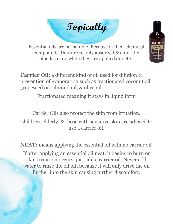



Essential oils are fat-soluble. Because of their chemical compounds, they are readily absorbed & enter the bloodstream, when they are applied directly.

**Carrier Oil**: a different kind of oil used for dilution & prevention of evaporation such as fractionated coconut oil, grapeseed oil, almond oil, & olive oil

Fractionated meaning it stays in liquid form

Carrier Oils also protect the skin from irritation. Children, elderly, & those with sensitive skin are advised to use a carrier oil.

**NEAT:** means applying the essential oil with no carrier oil If after applying an essential oil neat, it begins to burn or skin irritation occurs, just add a carrier oil. Never add water to rinse the oil off, because it will only drive the oil further into the skin causing further discomfort.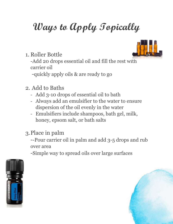# **Ways to Apply Topically**

1. Roller Bottle

-Add 20 drops essential oil and fill the rest with carrier oil

-quickly apply oils & are ready to go

- 2. Add to Baths
	- Add 3-10 drops of essential oil to bath
	- Always add an emulsifier to the water to ensure dispersion of the oil evenly in the water
	- Emulsifiers include shampoos, bath gel, milk, honey, epsom salt, or bath salts
- 3.Place in palm

--Pour carrier oil in palm and add 3-5 drops and rub over area

-Simple way to spread oils over large surfaces





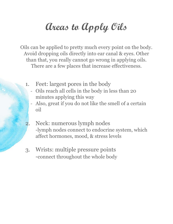## **Areas to Apply Oils**

Oils can be applied to pretty much every point on the body. Avoid dropping oils directly into ear canal & eyes. Other than that, you really cannot go wrong in applying oils. There are a few places that increase effectiveness.

- 1. Feet: largest pores in the body
	- Oils reach all cells in the body in less than 20 minutes applying this way
	- Also, great if you do not like the smell of a certain oil
- Neck: numerous lymph nodes -lymph nodes connect to endocrine system, which affect hormones, mood, & stress levels
- 3. Wrists: multiple pressure points -connect throughout the whole body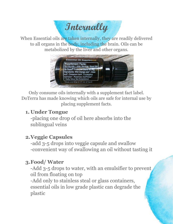**Internally**

When Essential oils are taken internally, they are readily delivered to all organs in the body, including the brain. Oils can be metabolized by the liver and other organs.



Only consume oils internally with a supplement fact label. DoTerra has made knowing which oils are safe for internal use by placing supplement facts.

#### **1. Under Tongue**

-placing one drop of oil here absorbs into the sublingual veins

#### **2.Veggie Capsules**

-add 3-5 drops into veggie capsule and swallow -convenient way of swallowing an oil without tasting it

#### **3.Food/ Water**

-Add 3-5 drops to water, with an emulsifier to prevent oil from floating on top

-Add only to stainless steal or glass containers, essential oils in low grade plastic can degrade the plastic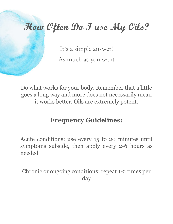## **How Often Do I use My Oils?**

It's a simple answer! As much as you want

Do what works for your body. Remember that a little goes a long way and more does not necessarily mean it works better. Oils are extremely potent.

#### **Frequency Guidelines:**

Acute conditions: use every 15 to 20 minutes until symptoms subside, then apply every 2-6 hours as needed

Chronic or ongoing conditions: repeat 1-2 times per day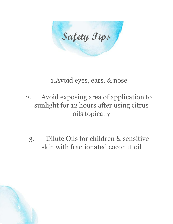**Safety Tips**

#### 1.Avoid eyes, ears, & nose

- 2. Avoid exposing area of application to sunlight for 12 hours after using citrus oils topically
	- 3. Dilute Oils for children & sensitive skin with fractionated coconut oil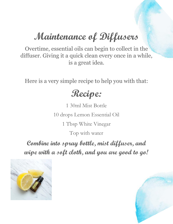## **Maintenance of Diffusers**

Overtime, essential oils can begin to collect in the diffuser. Giving it a quick clean every once in a while, is a great idea.

Here is a very simple recipe to help you with that:

#### **Recipe:**

1 30ml Mist Bottle 10 drops Lemon Essential Oil 1 Tbsp White Vinegar Top with water

**Combine into spray bottle, mist diffuser, and wipe with a soft cloth, and you are good to go!** 

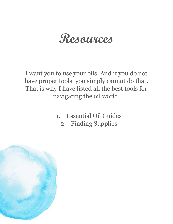## **Resources**

I want you to use your oils. And if you do not have proper tools, you simply cannot do that. That is why I have listed all the best tools for navigating the oil world.

- 1. Essential Oil Guides
	- 2. Finding Supplies

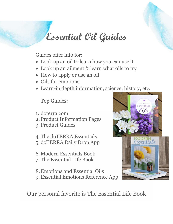### **Essential Oil Guides**

Guides offer info for:

- Look up an oil to learn how you can use it
- Look up an ailment & learn what oils to try
- How to apply or use an oil
- Oils for emotions
- Learn-in depth information, science, history, etc.

Top Guides:

1. doterra.com

2. Product Information Pages

3. Product Guides

4. The doTERRA Essentials 5. doTERRA Daily Drop App

6. Modern Essentials Book 7. The Essential Life Book

8.Emotions and Essential Oils 9. Essential Emotions Reference App



Our personal favorite is The Essential Life Book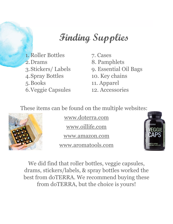## **Finding Supplies**

- 1. Roller Bottles 7. Cases 2. Drams 8. Pamphlets 4.Spray Bottles 10. Key chains 5.Books 11. Apparel 6.Veggie Capsules 12. Accessories
- 3.Stickers/ Labels 9. Essential Oil Bags

These items can be found on the multiple websites:



[www.doterra.com](http://www.doterra.com/) [www.oillife.com](http://www.oillife.com/)

[www.amazon.com](http://www.amazon.com/)

www.aromatools.com



We did find that roller bottles, veggie capsules, drams, stickers/labels, & spray bottles worked the best from doTERRA. We recommend buying these from doTERRA, but the choice is yours!